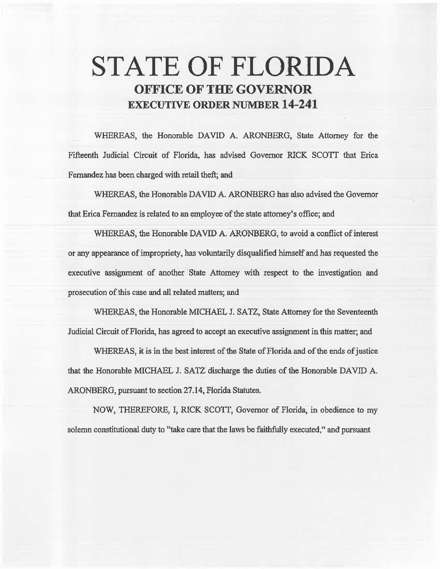# **STATE OF FLORIDA OFFICE OF THE GOVERNOR EXECUTIVE ORDER NUMBER 14-241**

WHEREAS, the Honorable DAVID A. ARONBERG, State Attorney for the Fifteenth Judicial Circuit of Florida, has advised Governor RICK SCOTT that Erica Fernandez has been charged with retail theft; and

WHEREAS, the Honorable DAVID A. ARONBERG has also advised the Governor that Erica Fernandez is related to an employee of the state attorney's office; and

WHEREAS, the Honorable DAVID A. ARONBERG, to avoid a conflict of interest or any appearance of impropriety, has voluntarily disqualified himself and has requested the executive assignment of another State Attorney with respect to the investigation and prosecution of this case and all related matters; and

WHEREAS, the Honorable MICHAEL J. SATZ, State Attorney for the Seventeenth Judicial Circuit of Florida, has agreed to accept an executive assignment in this matter; and

WHEREAS, it is in the best interest of the State of Florida and of the ends of justice that the Honorable MICHAEL J. SATZ discharge the duties of the Honorable DAVID A. ARONBERG, pursuant to section 27.14, Florida Statutes.

NOW, THEREFORE, I, RICK SCOTT, Governor of Florida, in obedience to my solemn constitutional duty to "take care that the laws be faithfully executed," and pursuant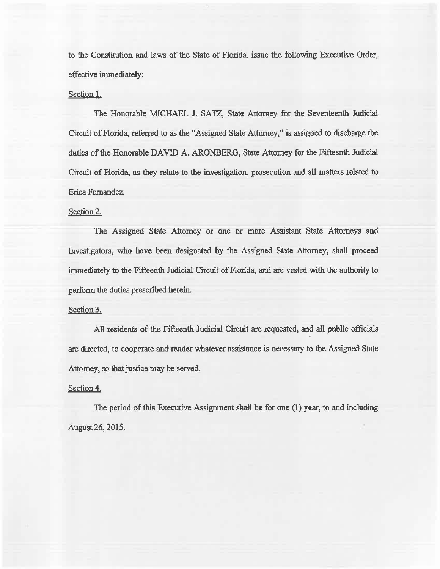to the Constitution and laws of the State of Florida, issue the following Executive Order, effective immediately:

#### Section 1.

The Honorable MICHAEL J. SATZ, State Attorney for the Seventeenth Judicial Circuit of Florida, referred to as the "Assigned State Attorney," is assigned to discharge the duties of the Honorable DAVID A. ARONBERG, State Attorney for the Fifteenth Judicial Circuit of Florida, as they relate to the investigation, prosecution and all matters related to Erica Fernandez.

### Section 2.

The Assigned State Attorney or one or more Assistant State Attorneys and Investigators, who have been designated by the Assigned State Attorney, shall proceed immediately to the Fifteenth Judicial Circuit of Florida, and are vested with the authority to perform the duties prescribed herein.

#### Section 3.

All residents of the Fifteenth Judicial Circuit are requested, and all public officials are directed, to cooperate and render whatever assistance is necessary to the Assigned State Attorney, so that justice may be served.

#### Section 4.

The period of this Executive Assignment shall be for one (1) year, to and including August 26, 2015.